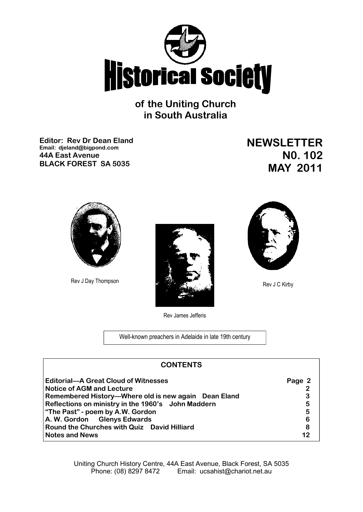

**of the Uniting Church in South Australia**

**Editor: Rev Dr Dean Eland Email: djeland@bigpond.com 44A East Avenue BLACK FOREST SA 5035**

**NEWSLETTER N0. 102 MAY 2011**





Rev James Jefferis

Well-known preachers in Adelaide in late 19th century

| <b>CONTENTS</b>                                      |        |  |
|------------------------------------------------------|--------|--|
| <b>Editorial-A Great Cloud of Witnesses</b>          | Page 2 |  |
| <b>Notice of AGM and Lecture</b>                     |        |  |
| Remembered History—Where old is new again Dean Eland | 3      |  |
| Reflections on ministry in the 1960's John Maddern   | 5      |  |
| "The Past" - poem by A.W. Gordon                     | 5      |  |
| A. W. Gordon Glenys Edwards                          | 6      |  |
| Round the Churches with Quiz David Hilliard          | 8      |  |
| <b>Notes and News</b>                                | 12     |  |

Uniting Church History Centre, 44A East Avenue, Black Forest, SA 5035 Phone: (08) 8297 8472 Email: ucsahist@chariot.net.au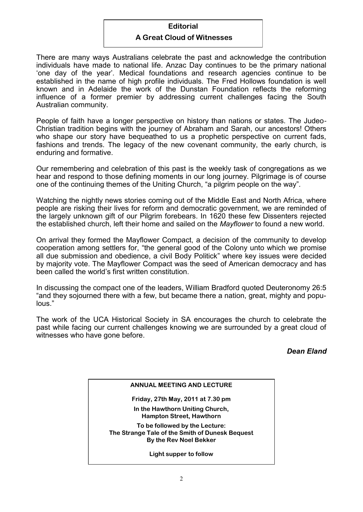#### **Editorial**

#### **A Great Cloud of Witnesses**

There are many ways Australians celebrate the past and acknowledge the contribution individuals have made to national life. Anzac Day continues to be the primary national 'one day of the year'*.* Medical foundations and research agencies continue to be established in the name of high profile individuals. The Fred Hollows foundation is well known and in Adelaide the work of the Dunstan Foundation reflects the reforming influence of a former premier by addressing current challenges facing the South Australian community.

People of faith have a longer perspective on history than nations or states. The Judeo-Christian tradition begins with the journey of Abraham and Sarah, our ancestors! Others who shape our story have bequeathed to us a prophetic perspective on current fads, fashions and trends. The legacy of the new covenant community, the early church, is enduring and formative.

Our remembering and celebration of this past is the weekly task of congregations as we hear and respond to those defining moments in our long journey. Pilgrimage is of course one of the continuing themes of the Uniting Church, "a pilgrim people on the way"*.*

Watching the nightly news stories coming out of the Middle East and North Africa, where people are risking their lives for reform and democratic government, we are reminded of the largely unknown gift of our Pilgrim forebears. In 1620 these few Dissenters rejected the established church, left their home and sailed on the *Mayflower* to found a new world.

On arrival they formed the Mayflower Compact, a decision of the community to develop cooperation among settlers for, "the general good of the Colony unto which we promise all due submission and obedience, a civil Body Politick" where key issues were decided by majority vote. The Mayflower Compact was the seed of American democracy and has been called the world's first written constitution.

In discussing the compact one of the leaders, William Bradford quoted Deuteronomy 26:5 "and they sojourned there with a few, but became there a nation, great, mighty and populous."

The work of the UCA Historical Society in SA encourages the church to celebrate the past while facing our current challenges knowing we are surrounded by a great cloud of witnesses who have gone before.

# *Dean Eland*

| <b>ANNUAL MEETING AND LECTURE</b>                                                                           |  |
|-------------------------------------------------------------------------------------------------------------|--|
| Friday, 27th May, 2011 at 7.30 pm                                                                           |  |
| In the Hawthorn Uniting Church,<br><b>Hampton Street, Hawthorn</b>                                          |  |
| To be followed by the Lecture:<br>The Strange Tale of the Smith of Dunesk Bequest<br>By the Rev Noel Bekker |  |
| Light supper to follow                                                                                      |  |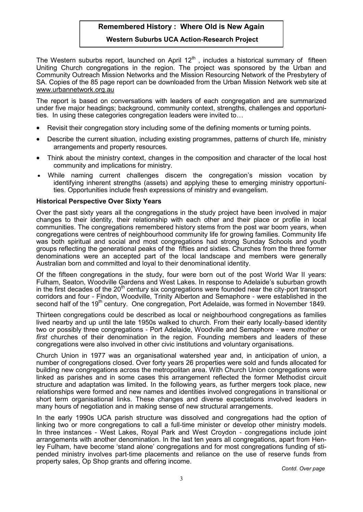# **Remembered History : Where Old is New Again**

#### **Western Suburbs UCA Action-Research Project**

The Western suburbs report, launched on April  $12<sup>th</sup>$ , includes a historical summary of fifteen Uniting Church congregations in the region. The project was sponsored by the Urban and Community Outreach Mission Networks and the Mission Resourcing Network of the Presbytery of SA. Copies of the 85 page report can be downloaded from the Urban Mission Network web site at www.urbannetwork.org.au

The report is based on conversations with leaders of each congregation and are summarized under five major headings; background, community context, strengths, challenges and opportunities. In using these categories congregation leaders were invited to…

- Revisit their congregation story including some of the defining moments or turning points.
- Describe the current situation, including existing programmes, patterns of church life, ministry arrangements and property resources.
- Think about the ministry context, changes in the composition and character of the local host community and implications for ministry.
- While naming current challenges discern the congregation's mission vocation by identifying inherent strengths (assets) and applying these to emerging ministry opportunities. Opportunities include fresh expressions of ministry and evangelism.

#### **Historical Perspective Over Sixty Years**

Over the past sixty years all the congregations in the study project have been involved in major changes to their identity, their relationship with each other and their place or profile in local communities. The congregations remembered history stems from the post war boom years, when congregations were centres of neighbourhood community life for growing families. Community life was both spiritual and social and most congregations had strong Sunday Schools and youth groups reflecting the generational peaks of the fifties and sixties. Churches from the three former denominations were an accepted part of the local landscape and members were generally Australian born and committed and loyal to their denominational identity.

Of the fifteen congregations in the study, four were born out of the post World War II years: Fulham, Seaton, Woodville Gardens and West Lakes. In response to Adelaide's suburban growth in the first decades of the  $20<sup>th</sup>$  century six congregations were founded near the city-port transport corridors and four - Findon, Woodville, Trinity Alberton and Semaphore - were established in the second half of the 19<sup>th</sup> century. One congregation, Port Adelaide, was formed in November 1849.

Thirteen congregations could be described as local or neighbourhood congregations as families lived nearby and up until the late 1950s walked to church. From their early locally-based identity two or possibly three congregations - Port Adelaide, Woodville and Semaphore - were *mother* or *first* churches of their denomination in the region. Founding members and leaders of these congregations were also involved in other civic institutions and voluntary organisations.

Church Union in 1977 was an organisational watershed year and, in anticipation of union, a number of congregations closed. Over forty years 26 properties were sold and funds allocated for building new congregations across the metropolitan area. With Church Union congregations were linked as parishes and in some cases this arrangement reflected the former Methodist circuit structure and adaptation was limited. In the following years, as further mergers took place, new relationships were formed and new names and identities involved congregations in transitional or short term organisational links. These changes and diverse expectations involved leaders in many hours of negotiation and in making sense of new structural arrangements.

In the early 1990s UCA parish structure was dissolved and congregations had the option of linking two or more congregations to call a full-time minister or develop other ministry models. In three instances - West Lakes, Royal Park and West Croydon - congregations include joint arrangements with another denomination. In the last ten years all congregations, apart from Henley Fulham, have become 'stand alone' congregations and for most congregations funding of stipended ministry involves part-time placements and reliance on the use of reserve funds from property sales, Op Shop grants and offering income.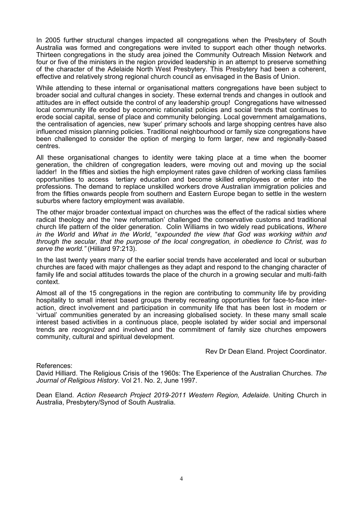In 2005 further structural changes impacted all congregations when the Presbytery of South Australia was formed and congregations were invited to support each other though networks. Thirteen congregations in the study area joined the Community Outreach Mission Network and four or five of the ministers in the region provided leadership in an attempt to preserve something of the character of the Adelaide North West Presbytery. This Presbytery had been a coherent, effective and relatively strong regional church council as envisaged in the Basis of Union.

While attending to these internal or organisational matters congregations have been subject to broader social and cultural changes in society. These external trends and changes in outlook and attitudes are in effect outside the control of any leadership group! Congregations have witnessed local community life eroded by economic rationalist policies and social trends that continues to erode social capital, sense of place and community belonging. Local government amalgamations, the centralisation of agencies, new *'*super' primary schools and large shopping centres have also influenced mission planning policies. Traditional neighbourhood or family size congregations have been challenged to consider the option of merging to form larger, new and regionally-based centres.

All these organisational changes to identity were taking place at a time when the boomer generation, the children of congregation leaders, were moving out and moving up the social ladder! In the fifties and sixties the high employment rates gave children of working class families opportunities to access tertiary education and become skilled employees or enter into the professions. The demand to replace unskilled workers drove Australian immigration policies and from the fifties onwards people from southern and Eastern Europe began to settle in the western suburbs where factory employment was available.

The other major broader contextual impact on churches was the effect of the radical sixties where radical theology and the 'new reformation' challenged the conservative customs and traditional church life pattern of the older generation. Colin Williams in two widely read publications, *Where in the World* and *What in the World*, "*expounded the view that God was working within and through the secular, that the purpose of the local congregation, in obedience to Christ, was to serve the world."* (Hilliard 97:213).

In the last twenty years many of the earlier social trends have accelerated and local or suburban churches are faced with major challenges as they adapt and respond to the changing character of family life and social attitudes towards the place of the church in a growing secular and multi-faith context.

Almost all of the 15 congregations in the region are contributing to community life by providing hospitality to small interest based groups thereby recreating opportunities for face-to-face interaction, direct involvement and participation in community life that has been lost in modern or 'virtual' communities generated by an increasing globalised society. In these many small scale interest based activities in a continuous place, people isolated by wider social and impersonal trends are *recognized* and involved and the commitment of family size churches empowers community, cultural and spiritual development.

Rev Dr Dean Eland. Project Coordinator.

References:

David Hilliard. The Religious Crisis of the 1960s: The Experience of the Australian Churches. *The Journal of Religious History.* Vol 21. No. 2, June 1997.

Dean Eland. *Action Research Project 2019-2011 Western Region, Adelaide.* Uniting Church in Australia, Presbytery/Synod of South Australia.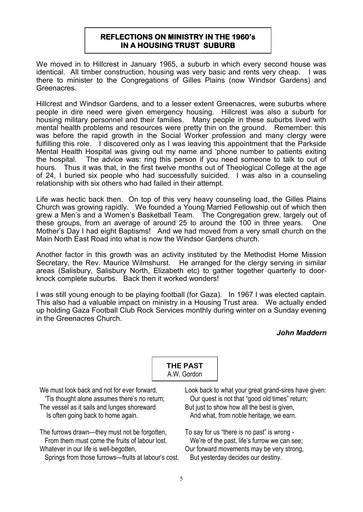## **REFLECTIONS ON MINISTRY IN THE 1960's IN A HOUSING TRUST SUBURB**

We moved in to Hillcrest in January 1965, a suburb in which every second house was identical. All timber construction, housing was very basic and rents very cheap. I was there to minister to the Congregations of Gilles Plains (now Windsor Gardens) and Greenacres.

Hillcrest and Windsor Gardens, and to a lesser extent Greenacres, were suburbs where people in dire need were given emergency housing. Hillcrest was also a suburb for housing military personnel and their families. Many people in these suburbs lived with mental health problems and resources were pretty thin on the ground. Remember: this was before the rapid growth in the Social Worker profession and many clergy were fulfilling this role. I discovered only as I was leaving this appointment that the Parkside Mental Health Hospital was giving out my name and 'phone number to patients exiting the hospital. The advice was: ring this person if you need someone to talk to out of hours. Thus it was that, in the first twelve months out of Theological College at the age of 24, I buried six people who had successfully suicided. I was also in a counseling relationship with six others who had failed in their attempt.

Life was hectic back then. On top of this very heavy counseling load, the Gilles Plains Church was growing rapidly. We founded a Young Married Fellowship out of which then grew a Men's and a Women's Basketball Team. The Congregation grew, largely out of these groups, from an average of around 25 to around the 100 in three years. One Mother's Day I had eight Baptisms! And we had moved from a very small church on the Main North East Road into what is now the Windsor Gardens church.

Another factor in this growth was an activity instituted by the Methodist Home Mission Secretary, the Rev. Maurice Wilmshurst. He arranged for the clergy serving in similar areas (Salisbury, Salisbury North, Elizabeth etc) to gather together quarterly to doorknock complete suburbs. Back then it worked wonders!

I was still young enough to be playing football (for Gaza). In 1967 I was elected captain. This also had a valuable impact on ministry in a Housing Trust area. We actually ended up holding Gaza Football Club Rock Services monthly during winter on a Sunday evening in the Greenacres Church.

## *John Maddern*



We must look back and not for ever forward.

 'Tis thought alone assumes there's no return; The vessel as it sails and lunges shoreward Is often going back to home again.

The furrows drawn—they must not be forgotten, From them must come the fruits of labour lost. Whatever in our life is well-begotten.

Springs from those furrows—fruits at labour's cost.

Look back to what your great grand-sires have given: Our quest is not that "good old times" return; But just to show how all the best is given. And what, from noble heritage, we earn.

To say for us "there is no past" is wrong - We're of the past, life's furrow we can see; Our forward movements may be very strong, But yesterday decides our destiny.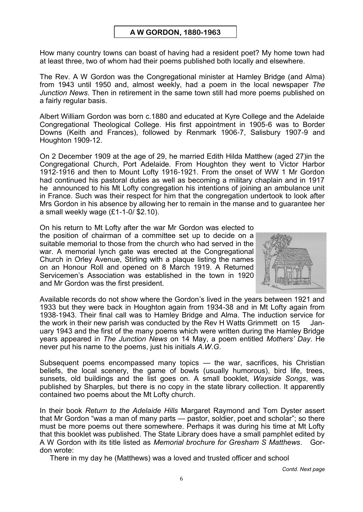## **A W GORDON, 1880-1963**

How many country towns can boast of having had a resident poet? My home town had at least three, two of whom had their poems published both locally and elsewhere.

The Rev. A W Gordon was the Congregational minister at Hamley Bridge (and Alma) from 1943 until 1950 and, almost weekly, had a poem in the local newspaper *The Junction News*. Then in retirement in the same town still had more poems published on a fairly regular basis.

Albert William Gordon was born c.1880 and educated at Kyre College and the Adelaide Congregational Theological College. His first appointment in 1905-6 was to Border Downs (Keith and Frances), followed by Renmark 1906-7, Salisbury 1907-9 and Houghton 1909-12.

On 2 December 1909 at the age of 29, he married Edith Hilda Matthew (aged 27)in the Congregational Church, Port Adelaide. From Houghton they went to Victor Harbor 1912-1916 and then to Mount Lofty 1916-1921. From the onset of WW 1 Mr Gordon had continued his pastoral duties as well as becoming a military chaplain and in 1917 he announced to his Mt Lofty congregation his intentions of joining an ambulance unit in France. Such was their respect for him that the congregation undertook to look after Mrs Gordon in his absence by allowing her to remain in the manse and to guarantee her a small weekly wage (£1-1-0/ \$2.10).

On his return to Mt Lofty after the war Mr Gordon was elected to the position of chairman of a committee set up to decide on a suitable memorial to those from the church who had served in the war. A memorial lynch gate was erected at the Congregational Church in Orley Avenue, Stirling with a plaque listing the names on an Honour Roll and opened on 8 March 1919. A Returned Servicemen's Association was established in the town in 1920 and Mr Gordon was the first president.



Available records do not show where the Gordon's lived in the years between 1921 and 1933 but they were back in Houghton again from 1934-38 and in Mt Lofty again from 1938-1943. Their final call was to Hamley Bridge and Alma. The induction service for the work in their new parish was conducted by the Rev H Watts Grimmett on 15 January 1943 and the first of the many poems which were written during the Hamley Bridge years appeared in *The Junction News* on 14 May, a poem entitled *Mothers' Day*. He never put his name to the poems, just his initials *A.W.G*.

Subsequent poems encompassed many topics — the war, sacrifices, his Christian beliefs, the local scenery, the game of bowls (usually humorous), bird life, trees, sunsets, old buildings and the list goes on. A small booklet, *Wayside Songs*, was published by Sharples, but there is no copy in the state library collection. It apparently contained two poems about the Mt Lofty church.

In their book *Return to the Adelaide Hills* Margaret Raymond and Tom Dyster assert that Mr Gordon "was a man of many parts — pastor, soldier, poet and scholar"; so there must be more poems out there somewhere. Perhaps it was during his time at Mt Lofty that this booklet was published. The State Library does have a small pamphlet edited by A W Gordon with its title listed as *Memorial brochure for Gresham S Matthews*. Gordon wrote:

There in my day he (Matthews) was a loved and trusted officer and school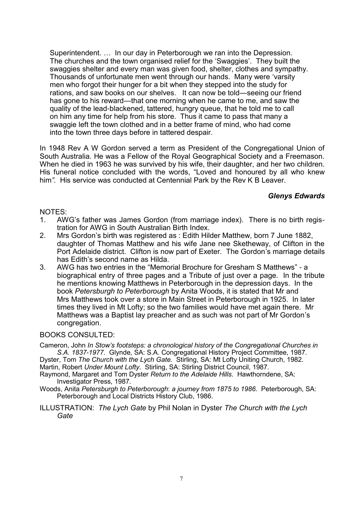Superintendent. … In our day in Peterborough we ran into the Depression. The churches and the town organised relief for the 'Swaggies'. They built the swaggies shelter and every man was given food, shelter, clothes and sympathy. Thousands of unfortunate men went through our hands. Many were 'varsity men who forgot their hunger for a bit when they stepped into the study for rations, and saw books on our shelves. It can now be told—seeing our friend has gone to his reward—that one morning when he came to me, and saw the quality of the lead-blackened, tattered, hungry queue, that he told me to call on him any time for help from his store. Thus it came to pass that many a swaggie left the town clothed and in a better frame of mind, who had come into the town three days before in tattered despair.

In 1948 Rev A W Gordon served a term as President of the Congregational Union of South Australia. He was a Fellow of the Royal Geographical Society and a Freemason. When he died in 1963 he was survived by his wife, their daughter, and her two children. His funeral notice concluded with the words, "Loved and honoured by all who knew him*".* His service was conducted at Centennial Park by the Rev K B Leaver.

## *Glenys Edwards*

#### NOTES:

- 1. AWG's father was James Gordon (from marriage index). There is no birth registration for AWG in South Australian Birth Index.
- 2. Mrs Gordon's birth was registered as : Edith Hilder Matthew, born 7 June 1882, daughter of Thomas Matthew and his wife Jane nee Sketheway, of Clifton in the Port Adelaide district. Clifton is now part of Exeter. The Gordon's marriage details has Edith's second name as Hilda.
- 3. AWG has two entries in the "Memorial Brochure for Gresham S Matthews" a biographical entry of three pages and a Tribute of just over a page. In the tribute he mentions knowing Matthews in Peterborough in the depression days. In the book *Petersburgh to Peterborough* by Anita Woods, it is stated that Mr and Mrs Matthews took over a store in Main Street in Peterborough in 1925. In later times they lived in Mt Lofty; so the two families would have met again there. Mr Matthews was a Baptist lay preacher and as such was not part of Mr Gordon's congregation.

## BOOKS CONSULTED:

Cameron, John *In Stow's footsteps: a chronological history of the Congregational Churches in S.A. 1837-1977.* Glynde, SA: S.A. Congregational History Project Committee, 1987.

Dyster, Tom *The Church with the Lych Gate.* Stirling, SA: Mt Lofty Uniting Church, 1982. Martin, Robert *Under Mount Lofty*. Stirling, SA: Stirling District Council, 1987.

Raymond, Margaret and Tom Dyster *Return to the Adelaide Hills*. Hawthorndene, SA: Investigator Press, 1987.

- Woods, Anita *Petersburgh to Peterborough*: *a journey from 1875 to 1986.* Peterborough, SA: Peterborough and Local Districts History Club, 1986.
- ILLUSTRATION: *The Lych Gate* by Phil Nolan in Dyster *The Church with the Lych Gate*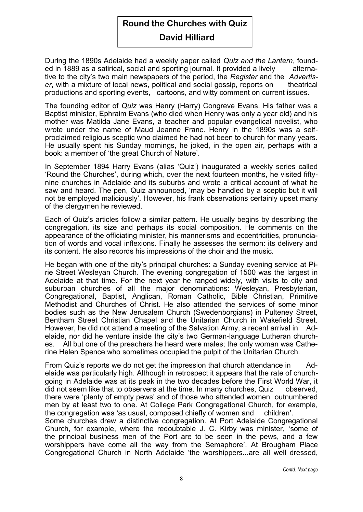# **Round the Churches with Quiz**

# **David Hilliard**

During the 1890s Adelaide had a weekly paper called *Quiz and the Lantern*, founded in 1889 as a satirical, social and sporting journal. It provided a lively alternative to the city's two main newspapers of the period, the *Register* and the *Advertiser*, with a mixture of local news, political and social gossip, reports on theatrical productions and sporting events, cartoons, and witty comment on current issues.

The founding editor of *Quiz* was Henry (Harry) Congreve Evans. His father was a Baptist minister, Ephraim Evans (who died when Henry was only a year old) and his mother was Matilda Jane Evans, a teacher and popular evangelical novelist, who wrote under the name of Maud Jeanne Franc. Henry in the 1890s was a selfproclaimed religious sceptic who claimed he had not been to church for many years. He usually spent his Sunday mornings, he joked, in the open air, perhaps with a book: a member of 'the great Church of Nature'.

In September 1894 Harry Evans (alias 'Quiz') inaugurated a weekly series called 'Round the Churches', during which, over the next fourteen months, he visited fiftynine churches in Adelaide and its suburbs and wrote a critical account of what he saw and heard. The pen, Quiz announced, 'may be handled by a sceptic but it will not be employed maliciously'. However, his frank observations certainly upset many of the clergymen he reviewed.

Each of Quiz's articles follow a similar pattern. He usually begins by describing the congregation, its size and perhaps its social composition. He comments on the appearance of the officiating minister, his mannerisms and eccentricities, pronunciation of words and vocal inflexions. Finally he assesses the sermon: its delivery and its content. He also records his impressions of the choir and the music.

He began with one of the city's principal churches: a Sunday evening service at Pirie Street Wesleyan Church. The evening congregation of 1500 was the largest in Adelaide at that time. For the next year he ranged widely, with visits to city and suburban churches of all the major denominations: Wesleyan, Presbyterian, Congregational, Baptist, Anglican, Roman Catholic, Bible Christian, Primitive Methodist and Churches of Christ. He also attended the services of some minor bodies such as the New Jerusalem Church (Swedenborgians) in Pulteney Street, Bentham Street Christian Chapel and the Unitarian Church in Wakefield Street. However, he did not attend a meeting of the Salvation Army, a recent arrival in Adelaide, nor did he venture inside the city's two German-language Lutheran churches. All but one of the preachers he heard were males; the only woman was Catherine Helen Spence who sometimes occupied the pulpit of the Unitarian Church.

From Quiz's reports we do not get the impression that church attendance in Adelaide was particularly high. Although in retrospect it appears that the rate of churchgoing in Adelaide was at its peak in the two decades before the First World War, it did not seem like that to observers at the time. In many churches, Quiz observed, there were 'plenty of empty pews' and of those who attended women outnumbered men by at least two to one. At College Park Congregational Church, for example, the congregation was 'as usual, composed chiefly of women and children'.

Some churches drew a distinctive congregation. At Port Adelaide Congregational Church, for example, where the redoubtable J. C. Kirby was minister, 'some of the principal business men of the Port are to be seen in the pews, and a few worshippers have come all the way from the Semaphore'. At Brougham Place Congregational Church in North Adelaide 'the worshippers...are all well dressed,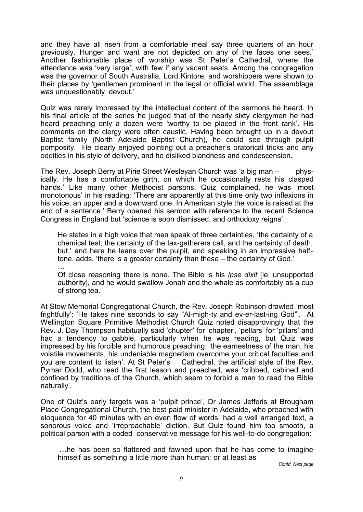and they have all risen from a comfortable meal say three quarters of an hour previously. Hunger and want are not depicted on any of the faces one sees.' Another fashionable place of worship was St Peter's Cathedral, where the attendance was 'very large', with few if any vacant seats. Among the congregation was the governor of South Australia, Lord Kintore, and worshippers were shown to their places by 'gentlemen prominent in the legal or official world. The assemblage was unquestionably devout.'

Quiz was rarely impressed by the intellectual content of the sermons he heard. In his final article of the series he judged that of the nearly sixty clergymen he had heard preaching only a dozen were 'worthy to be placed in the front rank'. His comments on the clergy were often caustic. Having been brought up in a devout Baptist family (North Adelaide Baptist Church), he could see through pulpit pomposity. He clearly enjoyed pointing out a preacher's oratorical tricks and any oddities in his style of delivery, and he disliked blandness and condescension.

The Rev. Joseph Berry at Pirie Street Weslevan Church was 'a big man – physically. He has a comfortable girth, on which he occasionally rests his clasped hands.' Like many other Methodist parsons, Quiz complained, he was 'most monotonous' in his reading: 'There are apparently at this time only two inflexions in his voice, an upper and a downward one. In American style the voice is raised at the end of a sentence.' Berry opened his sermon with reference to the recent Science Congress in England but 'science is soon dismissed, and orthodoxy reigns':

He states in a high voice that men speak of three certainties, 'the certainty of a chemical test, the certainty of the tax-gatherers call, and the certainty of death, but,' and here he leans over the pulpit, and speaking in an impressive halftone, adds, 'there is a greater certainty than these – the certainty of God.'

… Of close reasoning there is none. The Bible is his *ipse dixit* [ie, unsupported authority], and he would swallow Jonah and the whale as comfortably as a cup of strong tea.

At Stow Memorial Congregational Church, the Rev. Joseph Robinson drawled 'most frightfully': 'He takes nine seconds to say "Al-migh-ty and ev-er-last-ing God"'. At Wellington Square Primitive Methodist Church Quiz noted disapprovingly that the Rev. J. Day Thompson habitually said 'chupter' for 'chapter', 'pellars' for 'pillars' and had a tendency to gabble, particularly when he was reading, but Quiz was impressed by his forcible and humorous preaching: 'the earnestness of the man, his volatile movements, his undeniable magnetism overcome your critical faculties and you are content to listen'. At St Peter's Cathedral, the artificial style of the Rev. Pymar Dodd, who read the first lesson and preached, was 'cribbed, cabined and confined by traditions of the Church, which seem to forbid a man to read the Bible naturally'.

One of Quiz's early targets was a 'pulpit prince', Dr James Jefferis at Brougham Place Congregational Church, the best-paid minister in Adelaide, who preached with eloquence for 40 minutes with an even flow of words, had a well arranged text, a sonorous voice and 'irreproachable' diction. But Quiz found him too smooth, a political parson with a coded conservative message for his well-to-do congregation:

…he has been so flattered and fawned upon that he has come to imagine himself as something a little more than human; or at least as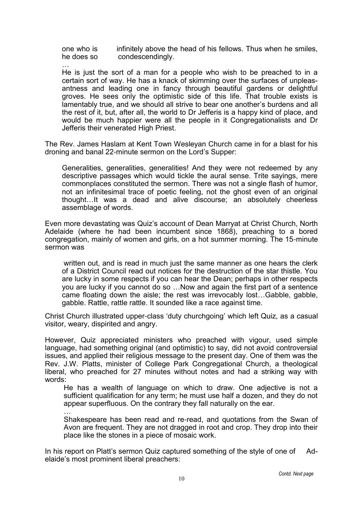one who is infinitely above the head of his fellows. Thus when he smiles, he does so condescendingly.

…

He is just the sort of a man for a people who wish to be preached to in a certain sort of way. He has a knack of skimming over the surfaces of unpleasantness and leading one in fancy through beautiful gardens or delightful groves. He sees only the optimistic side of this life. That trouble exists is lamentably true, and we should all strive to bear one another's burdens and all the rest of it, but, after all, the world to Dr Jefferis is a happy kind of place, and would be much happier were all the people in it Congregationalists and Dr Jefferis their venerated High Priest.

The Rev. James Haslam at Kent Town Wesleyan Church came in for a blast for his droning and banal 22-minute sermon on the Lord's Supper:

Generalities, generalities, generalities! And they were not redeemed by any descriptive passages which would tickle the aural sense. Trite sayings, mere commonplaces constituted the sermon. There was not a single flash of humor, not an infinitesimal trace of poetic feeling, not the ghost even of an original thought…It was a dead and alive discourse; an absolutely cheerless assemblage of words.

Even more devastating was Quiz's account of Dean Marryat at Christ Church, North Adelaide (where he had been incumbent since 1868), preaching to a bored congregation, mainly of women and girls, on a hot summer morning. The 15-minute sermon was

written out, and is read in much just the same manner as one hears the clerk of a District Council read out notices for the destruction of the star thistle. You are lucky in some respects if you can hear the Dean; perhaps in other respects you are lucky if you cannot do so …Now and again the first part of a sentence came floating down the aisle; the rest was irrevocably lost…Gabble, gabble, gabble. Rattle, rattle rattle. It sounded like a race against time.

Christ Church illustrated upper-class 'duty churchgoing' which left Quiz, as a casual visitor, weary, dispirited and angry.

However, Quiz appreciated ministers who preached with vigour, used simple language, had something original (and optimistic) to say, did not avoid controversial issues, and applied their religious message to the present day. One of them was the Rev. J.W. Platts, minister of College Park Congregational Church, a theological liberal, who preached for 27 minutes without notes and had a striking way with words:

He has a wealth of language on which to draw. One adjective is not a sufficient qualification for any term; he must use half a dozen, and they do not appear superfluous. On the contrary they fall naturally on the ear. …

Shakespeare has been read and re-read, and quotations from the Swan of Avon are frequent. They are not dragged in root and crop. They drop into their place like the stones in a piece of mosaic work.

In his report on Platt's sermon Quiz captured something of the style of one of Adelaide's most prominent liberal preachers: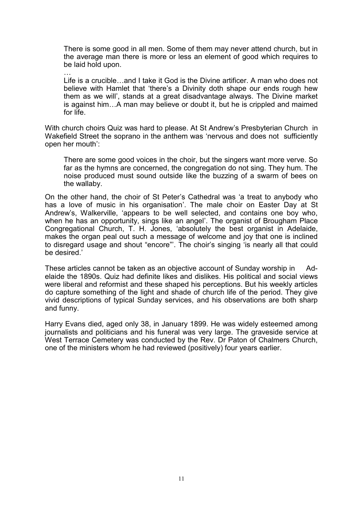There is some good in all men. Some of them may never attend church, but in the average man there is more or less an element of good which requires to be laid hold upon.

… Life is a crucible…and I take it God is the Divine artificer. A man who does not believe with Hamlet that 'there's a Divinity doth shape our ends rough hew them as we will', stands at a great disadvantage always. The Divine market is against him…A man may believe or doubt it, but he is crippled and maimed for life.

With church choirs Quiz was hard to please. At St Andrew's Presbyterian Church in Wakefield Street the soprano in the anthem was 'nervous and does not sufficiently open her mouth':

There are some good voices in the choir, but the singers want more verve. So far as the hymns are concerned, the congregation do not sing. They hum. The noise produced must sound outside like the buzzing of a swarm of bees on the wallaby.

On the other hand, the choir of St Peter's Cathedral was 'a treat to anybody who has a love of music in his organisation'. The male choir on Easter Day at St Andrew's, Walkerville, 'appears to be well selected, and contains one boy who, when he has an opportunity, sings like an angel'. The organist of Brougham Place Congregational Church, T. H. Jones, 'absolutely the best organist in Adelaide, makes the organ peal out such a message of welcome and joy that one is inclined to disregard usage and shout "encore"'. The choir's singing 'is nearly all that could be desired.'

These articles cannot be taken as an objective account of Sunday worship in Adelaide the 1890s. Quiz had definite likes and dislikes. His political and social views were liberal and reformist and these shaped his perceptions. But his weekly articles do capture something of the light and shade of church life of the period. They give vivid descriptions of typical Sunday services, and his observations are both sharp and funny.

Harry Evans died, aged only 38, in January 1899. He was widely esteemed among journalists and politicians and his funeral was very large. The graveside service at West Terrace Cemetery was conducted by the Rev. Dr Paton of Chalmers Church, one of the ministers whom he had reviewed (positively) four years earlier.